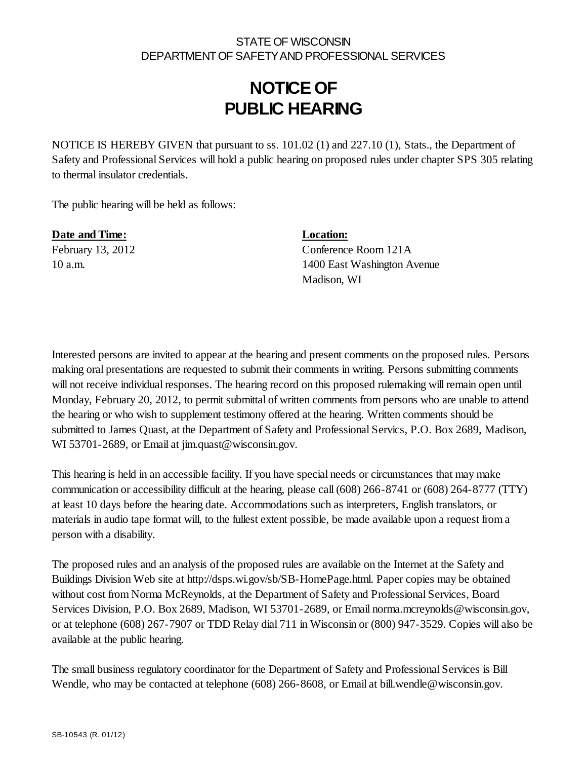### STATE OF WISCONSIN DEPARTMENT OF SAFETY AND PROFESSIONAL SERVICES

## **NOTICE OF PUBLIC HEARING**

NOTICE IS HEREBY GIVEN that pursuant to ss. 101.02 (1) and 227.10 (1), Stats., the Department of Safety and Professional Services will hold a public hearing on proposed rules under chapter SPS 305 relating to thermal insulator credentials.

The public hearing will be held as follows:

**Date and Time: Location:**

February 13, 2012 Conference Room 121A 10 a.m. 1400 East Washington Avenue Madison, WI

Interested persons are invited to appear at the hearing and present comments on the proposed rules. Persons making oral presentations are requested to submit their comments in writing. Persons submitting comments will not receive individual responses. The hearing record on this proposed rulemaking will remain open until Monday, February 20, 2012, to permit submittal of written comments from persons who are unable to attend the hearing or who wish to supplement testimony offered at the hearing. Written comments should be submitted to James Quast, at the Department of Safety and Professional Servics, P.O. Box 2689, Madison, WI 53701-2689, or Email at jim.quast@wisconsin.gov.

This hearing is held in an accessible facility. If you have special needs or circumstances that may make communication or accessibility difficult at the hearing, please call (608) 266-8741 or (608) 264-8777 (TTY) at least 10 days before the hearing date. Accommodations such as interpreters, English translators, or materials in audio tape format will, to the fullest extent possible, be made available upon a request from a person with a disability.

The proposed rules and an analysis of the proposed rules are available on the Internet at the Safety and Buildings Division Web site at http://dsps.wi.gov/sb/SB-HomePage.html. Paper copies may be obtained without cost from Norma McReynolds, at the Department of Safety and Professional Services, Board Services Division, P.O. Box 2689, Madison, WI 53701-2689, or Email norma.mcreynolds@wisconsin.gov, or at telephone (608) 267-7907 or TDD Relay dial 711 in Wisconsin or (800) 947-3529. Copies will also be available at the public hearing.

The small business regulatory coordinator for the Department of Safety and Professional Services is Bill Wendle, who may be contacted at telephone (608) 266-8608, or Email at bill wendle@wisconsin.gov.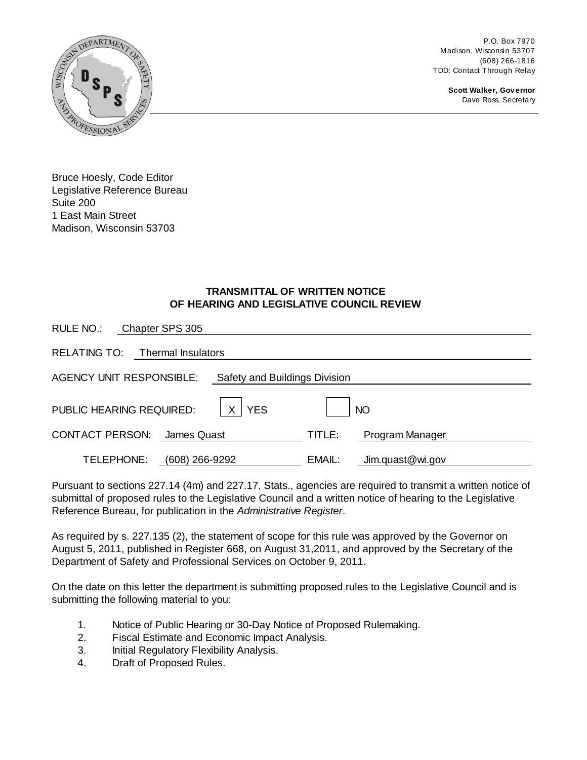P.O. Box 7970 Madison, Wisconsin 53707 (608) 266-1816 TDD: Contact Through Relay

> **Scott Walker, Governor** Dave Ross, Secretary



Bruce Hoesly, Code Editor Legislative Reference Bureau Suite 200 1 East Main Street Madison, Wisconsin 53703

#### **TRANSMITTAL OF WRITTEN NOTICE OF HEARING AND LEGISLATIVE COUNCIL REVIEW**

| RULE NO.:<br>Chapter SPS 305                                     |  |                |                              |        |                  |
|------------------------------------------------------------------|--|----------------|------------------------------|--------|------------------|
| RELATING TO: Thermal Insulators                                  |  |                |                              |        |                  |
| <b>AGENCY UNIT RESPONSIBLE:</b><br>Safety and Buildings Division |  |                |                              |        |                  |
| PUBLIC HEARING REQUIRED:                                         |  |                | X <sub>1</sub><br><b>YES</b> |        | <b>NO</b>        |
| <b>CONTACT PERSON:</b>                                           |  | James Quast    |                              | TITLE: | Program Manager  |
| TELEPHONE:                                                       |  | (608) 266-9292 |                              | EMAIL: | Jim.quast@wi.gov |

Pursuant to sections 227.14 (4m) and 227.17, Stats., agencies are required to transmit a written notice of submittal of proposed rules to the Legislative Council and a written notice of hearing to the Legislative Reference Bureau, for publication in the *Administrative Register*.

As required by s. 227.135 (2), the statement of scope for this rule was approved by the Governor on August 5, 2011, published in Register 668, on August 31,2011, and approved by the Secretary of the Department of Safety and Professional Services on October 9, 2011.

On the date on this letter the department is submitting proposed rules to the Legislative Council and is submitting the following material to you:

- 1. Notice of Public Hearing or 30-Day Notice of Proposed Rulemaking.
- 2. Fiscal Estimate and Economic Impact Analysis.
- 3. Initial Regulatory Flexibility Analysis.
- 4. Draft of Proposed Rules.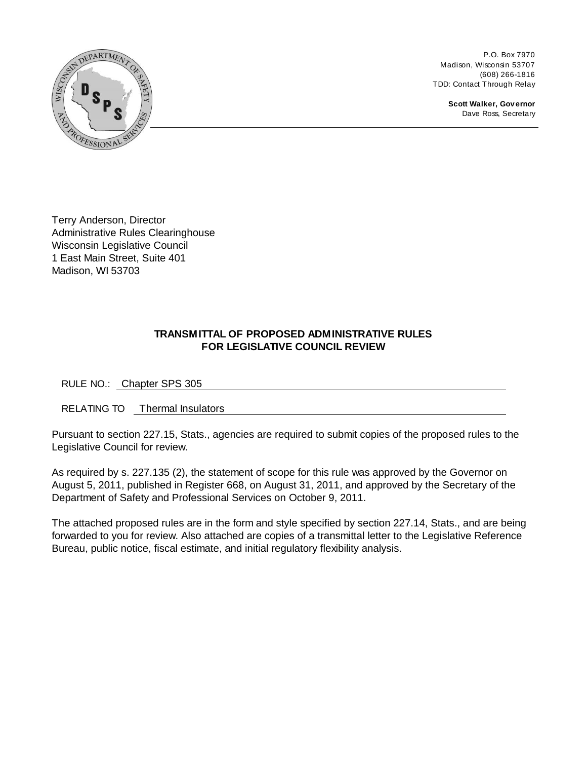

P.O. Box 7970 Madison, Wisconsin 53707 (608) 266-1816 TDD: Contact Through Relay

> **Scott Walker, Governor** Dave Ross, Secretary

Terry Anderson, Director Administrative Rules Clearinghouse Wisconsin Legislative Council 1 East Main Street, Suite 401 Madison, WI 53703

#### **TRANSMITTAL OF PROPOSED ADMINISTRATIVE RULES FOR LEGISLATIVE COUNCIL REVIEW**

RULE NO.: Chapter SPS 305

RELATING TO Thermal Insulators

Pursuant to section 227.15, Stats., agencies are required to submit copies of the proposed rules to the Legislative Council for review.

As required by s. 227.135 (2), the statement of scope for this rule was approved by the Governor on August 5, 2011, published in Register 668, on August 31, 2011, and approved by the Secretary of the Department of Safety and Professional Services on October 9, 2011.

The attached proposed rules are in the form and style specified by section 227.14, Stats., and are being forwarded to you for review. Also attached are copies of a transmittal letter to the Legislative Reference Bureau, public notice, fiscal estimate, and initial regulatory flexibility analysis.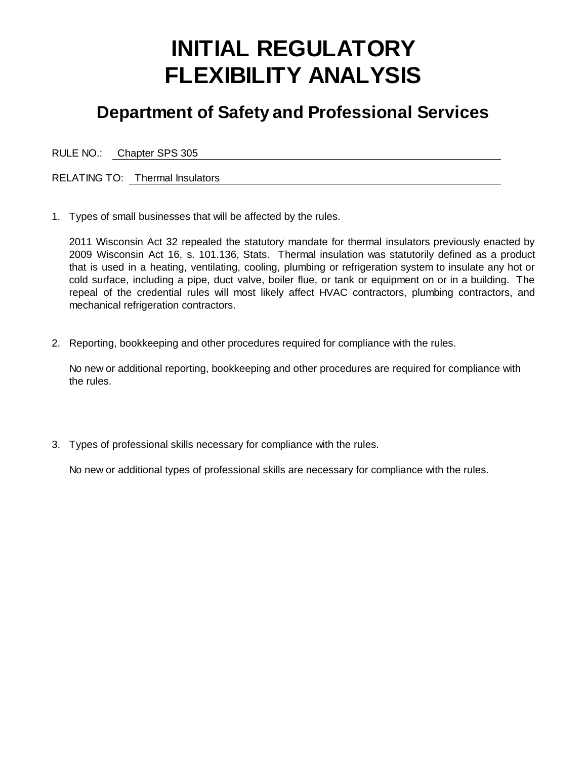# **INITIAL REGULATORY FLEXIBILITY ANALYSIS**

## **Department of Safety and Professional Services**

RULE NO.: Chapter SPS 305

RELATING TO: Thermal Insulators

1. Types of small businesses that will be affected by the rules.

2011 Wisconsin Act 32 repealed the statutory mandate for thermal insulators previously enacted by 2009 Wisconsin Act 16, s. 101.136, Stats. Thermal insulation was statutorily defined as a product that is used in a heating, ventilating, cooling, plumbing or refrigeration system to insulate any hot or cold surface, including a pipe, duct valve, boiler flue, or tank or equipment on or in a building. The repeal of the credential rules will most likely affect HVAC contractors, plumbing contractors, and mechanical refrigeration contractors.

2. Reporting, bookkeeping and other procedures required for compliance with the rules.

No new or additional reporting, bookkeeping and other procedures are required for compliance with the rules.

3. Types of professional skills necessary for compliance with the rules.

No new or additional types of professional skills are necessary for compliance with the rules.